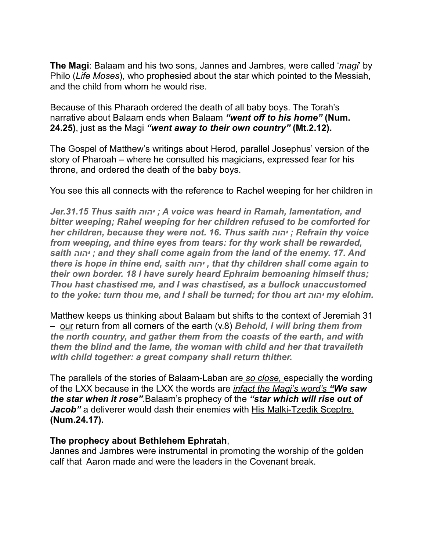**The Magi**: Balaam and his two sons, Jannes and Jambres, were called '*magi*' by Philo (*Life Moses*), who prophesied about the star which pointed to the Messiah, and the child from whom he would rise.

Because of this Pharaoh ordered the death of all baby boys. The Torah's narrative about Balaam ends when Balaam *"went off to his home"* **(Num. 24.25)**, just as the Magi *"went away to their own country"* **(Mt.2.12).**

The Gospel of Matthew's writings about Herod, parallel Josephus' version of the story of Pharoah – where he consulted his magicians, expressed fear for his throne, and ordered the death of the baby boys.

You see this all connects with the reference to Rachel weeping for her children in

*Jer.31.15 Thus saith יהוה ; A voice was heard in Ramah, lamentation, and bitter weeping; Rahel weeping for her children refused to be comforted for her children, because they were not. 16. Thus saith יהוה ; Refrain thy voice from weeping, and thine eyes from tears: for thy work shall be rewarded, saith יהוה ; and they shall come again from the land of the enemy. 17. And there is hope in thine end, saith יהוה , that thy children shall come again to their own border. 18 I have surely heard Ephraim bemoaning himself thus; Thou hast chastised me, and I was chastised, as a bullock unaccustomed to the yoke: turn thou me, and I shall be turned; for thou art יהוה my elohim.* 

Matthew keeps us thinking about Balaam but shifts to the context of Jeremiah 31 – our return from all corners of the earth (v.8) *Behold, I will bring them from the north country, and gather them from the coasts of the earth, and with them the blind and the lame, the woman with child and her that travaileth with child together: a great company shall return thither.* 

The parallels of the stories of Balaam-Laban are *so close,* especially the wording of the LXX because in the LXX the words are *infact the Magi's word's "We saw the star when it rose"*.Balaam's prophecy of the *"star which will rise out of Jacob*" a deliverer would dash their enemies with His Malki-Tzedik Sceptre. **(Num.24.17).** 

# **The prophecy about Bethlehem Ephratah**,

Jannes and Jambres were instrumental in promoting the worship of the golden calf that Aaron made and were the leaders in the Covenant break.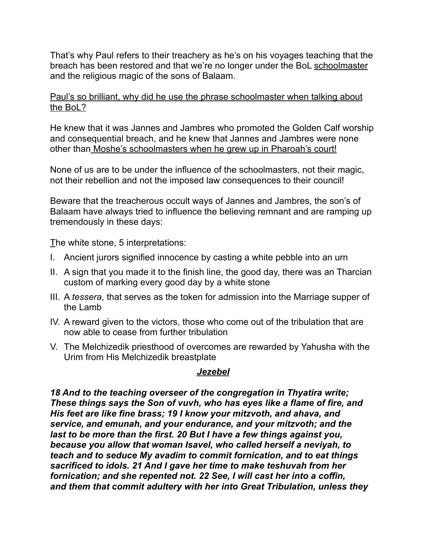That's why Paul refers to their treachery as he's on his voyages teaching that the breach has been restored and that we're no longer under the BoL schoolmaster and the religious magic of the sons of Balaam.

Paul's so brilliant, why did he use the phrase schoolmaster when talking about the BoL?

He knew that it was Jannes and Jambres who promoted the Golden Calf worship and consequential breach, and he knew that Jannes and Jambres were none other than Moshe's schoolmasters when he grew up in Pharoah's court!

None of us are to be under the influence of the schoolmasters, not their magic, not their rebellion and not the imposed law consequences to their council!

Beware that the treacherous occult ways of Jannes and Jambres, the son's of Balaam have always tried to influence the believing remnant and are ramping up tremendously in these days:

The white stone, 5 interpretations:

- I. Ancient jurors signified innocence by casting a white pebble into an urn
- II. A sign that you made it to the finish line, the good day, there was an Tharcian custom of marking every good day by a white stone
- III. A *tessera*, that serves as the token for admission into the Marriage supper of the Lamb
- IV. A reward given to the victors, those who come out of the tribulation that are now able to cease from further tribulation
- V. The Melchizedik priesthood of overcomes are rewarded by Yahusha with the Urim from His Melchizedik breastplate

# *Jezebel*

*18 And to the teaching overseer of the congregation in Thyatira write; These things says the Son of vuvh, who has eyes like a flame of fire, and His feet are like fine brass; 19 I know your mitzvoth, and ahava, and service, and emunah, and your endurance, and your mitzvoth; and the last to be more than the first. 20 But I have a few things against you, because you allow that woman Isavel, who called herself a neviyah, to teach and to seduce My avadim to commit fornication, and to eat things sacrificed to idols. 21 And I gave her time to make teshuvah from her fornication; and she repented not. 22 See, I will cast her into a coffin, and them that commit adultery with her into Great Tribulation, unless they*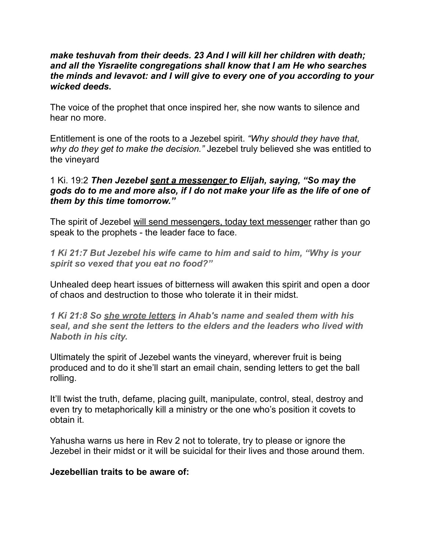### *make teshuvah from their deeds. 23 And I will kill her children with death; and all the Yisraelite congregations shall know that I am He who searches the minds and levavot: and I will give to every one of you according to your wicked deeds.*

The voice of the prophet that once inspired her, she now wants to silence and hear no more.

Entitlement is one of the roots to a Jezebel spirit. *"Why should they have that, why do they get to make the decision."* Jezebel truly believed she was entitled to the vineyard

### 1 Ki. 19:2 *Then Jezebel sent a messenger to Elijah, saying, "So may the gods do to me and more also, if I do not make your life as the life of one of them by this time tomorrow."*

The spirit of Jezebel will send messengers, today text messenger rather than go speak to the prophets - the leader face to face.

*1 Ki 21:7 But Jezebel his wife came to him and said to him, "Why is your spirit so vexed that you eat no food?"* 

Unhealed deep heart issues of bitterness will awaken this spirit and open a door of chaos and destruction to those who tolerate it in their midst.

*1 Ki 21:8 So she wrote letters in Ahab's name and sealed them with his seal, and she sent the letters to the elders and the leaders who lived with Naboth in his city.* 

Ultimately the spirit of Jezebel wants the vineyard, wherever fruit is being produced and to do it she'll start an email chain, sending letters to get the ball rolling.

It'll twist the truth, defame, placing guilt, manipulate, control, steal, destroy and even try to metaphorically kill a ministry or the one who's position it covets to obtain it.

Yahusha warns us here in Rev 2 not to tolerate, try to please or ignore the Jezebel in their midst or it will be suicidal for their lives and those around them.

#### **Jezebellian traits to be aware of:**